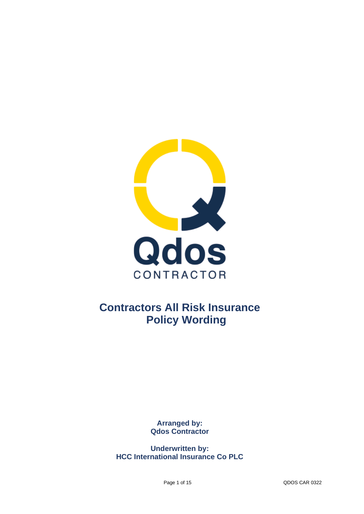

# **Contractors All Risk Insurance Policy Wording**

**Arranged by: Qdos Contractor**

**Underwritten by: HCC International Insurance Co PLC**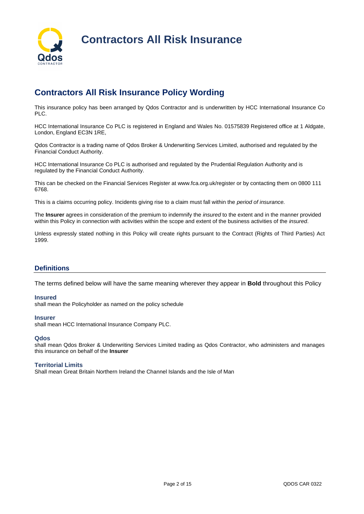

## **Contractors All Risk Insurance Policy Wording**

This insurance policy has been arranged by Qdos Contractor and is underwritten by HCC International Insurance Co PLC.

HCC International Insurance Co PLC is registered in England and Wales No. 01575839 Registered office at 1 Aldgate, London, England EC3N 1RE,

Qdos Contractor is a trading name of Qdos Broker & Underwriting Services Limited, authorised and regulated by the Financial Conduct Authority.

HCC International Insurance Co PLC is authorised and regulated by the Prudential Regulation Authority and is regulated by the Financial Conduct Authority.

This can be checked on the Financial Services Register at www.fca.org.uk/register or by contacting them on 0800 111 6768.

This is a claims occurring policy. Incidents giving rise to a claim must fall within the *period of insurance.* 

The **Insurer** agrees in consideration of the premium to indemnify the *insured* to the extent and in the manner provided within this Policy in connection with activities within the scope and extent of the business activities of the *insured*.

Unless expressly stated nothing in this Policy will create rights pursuant to the Contract (Rights of Third Parties) Act 1999.

## **Definitions**

The terms defined below will have the same meaning wherever they appear in **Bold** throughout this Policy

#### **Insured**

shall mean the Policyholder as named on the policy schedule

#### **Insurer**

shall mean HCC International Insurance Company PLC.

#### **Qdos**

shall mean Qdos Broker & Underwriting Services Limited trading as Qdos Contractor, who administers and manages this insurance on behalf of the **Insurer**

### **Territorial Limits**

Shall mean Great Britain Northern Ireland the Channel Islands and the Isle of Man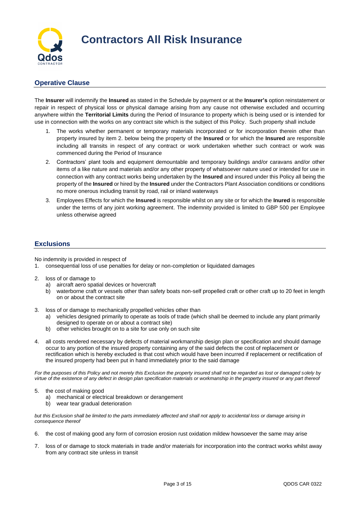

## **Operative Clause**

The **Insurer** will indemnify the **Insured** as stated in the Schedule by payment or at the **Insurer's** option reinstatement or repair in respect of physical loss or physical damage arising from any cause not otherwise excluded and occurring anywhere within the **Territorial Limits** during the Period of Insurance to property which is being used or is intended for use in connection with the works on any contract site which is the subject of this Policy. Such property shall include

- 1. The works whether permanent or temporary materials incorporated or for incorporation therein other than property insured by item 2. below being the property of the **Insured** or for which the **Insured** are responsible including all transits in respect of any contract or work undertaken whether such contract or work was commenced during the Period of Insurance
- 2. Contractors' plant tools and equipment demountable and temporary buildings and/or caravans and/or other items of a like nature and materials and/or any other property of whatsoever nature used or intended for use in connection with any contract works being undertaken by the **Insured** and insured under this Policy all being the property of the **Insured** or hired by the **Insured** under the Contractors Plant Association conditions or conditions no more onerous including transit by road, rail or inland waterways
- 3. Employees Effects for which the **Insured** is responsible whilst on any site or for which the **Inured** is responsible under the terms of any joint working agreement. The indemnity provided is limited to GBP 500 per Employee unless otherwise agreed

## **Exclusions**

No indemnity is provided in respect of

- 1. consequential loss of use penalties for delay or non-completion or liquidated damages
- 2. loss of or damage to
	- a) aircraft aero spatial devices or hovercraft
	- b) waterborne craft or vessels other than safety boats non-self propelled craft or other craft up to 20 feet in length on or about the contract site
- 3. loss of or damage to mechanically propelled vehicles other than
	- a) vehicles designed primarily to operate as tools of trade (which shall be deemed to include any plant primarily designed to operate on or about a contract site)
	- b) other vehicles brought on to a site for use only on such site
- 4. all costs rendered necessary by defects of material workmanship design plan or specification and should damage occur to any portion of the insured property containing any of the said defects the cost of replacement or rectification which is hereby excluded is that cost which would have been incurred if replacement or rectification of the insured property had been put in hand immediately prior to the said damage

*For the purposes of this Policy and not merely this Exclusion the property insured shall not be regarded as lost or damaged solely by virtue of the existence of any defect in design plan specification materials or workmanship in the property insured or any part thereof*

- 5. the cost of making good
	- a) mechanical or electrical breakdown or derangement
	- b) wear tear gradual deterioration

*but this Exclusion shall be limited to the parts immediately affected and shall not apply to accidental loss or damage arising in consequence thereof*

- 6. the cost of making good any form of corrosion erosion rust oxidation mildew howsoever the same may arise
- 7. loss of or damage to stock materials in trade and/or materials for incorporation into the contract works whilst away from any contract site unless in transit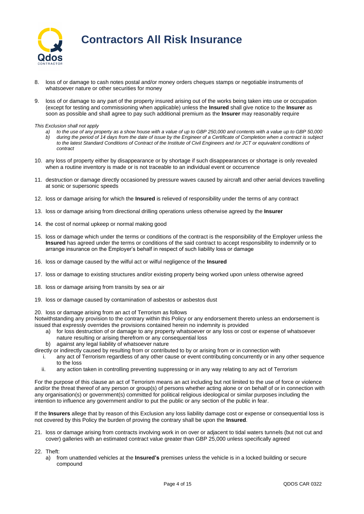

- 8. loss of or damage to cash notes postal and/or money orders cheques stamps or negotiable instruments of whatsoever nature or other securities for money
- 9. loss of or damage to any part of the property insured arising out of the works being taken into use or occupation (except for testing and commissioning when applicable) unless the **Insured** shall give notice to the **Insurer** as soon as possible and shall agree to pay such additional premium as the **Insurer** may reasonably require

*This Exclusion shall not apply* 

- *a) to the use of any property as a show house with a value of up to GBP 250,000 and contents with a value up to GBP 50,000 b) during the period of 14 days from the date of issue by the Engineer of a Certificate of Completion when a contract is subject*  to the latest Standard Conditions of Contract of the Institute of Civil Engineers and /or JCT or equivalent conditions of *contract*
- 10. any loss of property either by disappearance or by shortage if such disappearances or shortage is only revealed when a routine inventory is made or is not traceable to an individual event or occurrence
- 11. destruction or damage directly occasioned by pressure waves caused by aircraft and other aerial devices travelling at sonic or supersonic speeds
- 12. loss or damage arising for which the **Insured** is relieved of responsibility under the terms of any contract
- 13. loss or damage arising from directional drilling operations unless otherwise agreed by the **Insurer**
- 14. the cost of normal upkeep or normal making good
- 15. loss or damage which under the terms or conditions of the contract is the responsibility of the Employer unless the **Insured** has agreed under the terms or conditions of the said contract to accept responsibility to indemnify or to arrange insurance on the Employer's behalf in respect of such liability loss or damage
- 16. loss or damage caused by the wilful act or wilful negligence of the **Insured**
- 17. loss or damage to existing structures and/or existing property being worked upon unless otherwise agreed
- 18. loss or damage arising from transits by sea or air
- 19. loss or damage caused by contamination of asbestos or asbestos dust

20. loss or damage arising from an act of Terrorism as follows

Notwithstanding any provision to the contrary within this Policy or any endorsement thereto unless an endorsement is issued that expressly overrides the provisions contained herein no indemnity is provided

- a) for loss destruction of or damage to any property whatsoever or any loss or cost or expense of whatsoever nature resulting or arising therefrom or any consequential loss
- b) against any legal liability of whatsoever nature
- directly or indirectly caused by resulting from or contributed to by or arising from or in connection with
	- i. any act of Terrorism regardless of any other cause or event contributing concurrently or in any other sequence to the loss
	- ii. any action taken in controlling preventing suppressing or in any way relating to any act of Terrorism

For the purpose of this clause an act of Terrorism means an act including but not limited to the use of force or violence and/or the threat thereof of any person or group(s) of persons whether acting alone or on behalf of or in connection with any organisation(s) or government(s) committed for political religious ideological or similar purposes including the intention to influence any government and/or to put the public or any section of the public in fear.

If the **Insurers** allege that by reason of this Exclusion any loss liability damage cost or expense or consequential loss is not covered by this Policy the burden of proving the contrary shall be upon the **Insured**.

21. loss or damage arising from contracts involving work in on over or adjacent to tidal waters tunnels (but not cut and cover) galleries with an estimated contract value greater than GBP 25,000 unless specifically agreed

22. Theft:

a) from unattended vehicles at the **Insured's** premises unless the vehicle is in a locked building or secure compound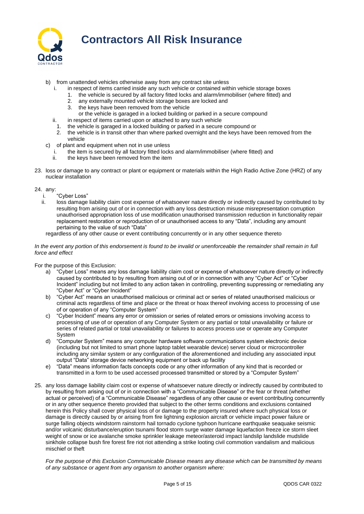

## b) from unattended vehicles otherwise away from any contract site unless

- in respect of items carried inside any such vehicle or contained within vehicle storage boxes
- 1. the vehicle is secured by all factory fitted locks and alarm/immobiliser (where fitted) and
	- 2. any externally mounted vehicle storage boxes are locked and
	- 3. the keys have been removed from the vehicle
	- or the vehicle is garaged in a locked building or parked in a secure compound
- ii. in respect of items carried upon or attached to any such vehicle<br>1. the vehicle is garaged in a locked building or parked in a secure the vehicle is garaged in a locked building or parked in a secure compound or
- 2. the vehicle is in transit other than where parked overnight and the keys have been removed from the vehicle
- c) of plant and equipment when not in use unless
	- i. the item is secured by all factory fitted locks and alarm/immobiliser (where fitted) and
	- ii. the keys have been removed from the item
- 23. loss or damage to any contract or plant or equipment or materials within the High Radio Active Zone (HRZ) of any nuclear installation

#### 24. any:

- i. "Cyber Loss"
- ii. loss damage liability claim cost expense of whatsoever nature directly or indirectly caused by contributed to by resulting from arising out of or in connection with any loss destruction misuse misrepresentation corruption unauthorised appropriation loss of use modification unauthorised transmission reduction in functionality repair replacement restoration or reproduction of or unauthorised access to any "Data", including any amount pertaining to the value of such "Data"

regardless of any other cause or event contributing concurrently or in any other sequence thereto

#### *In the event any portion of this endorsement is found to be invalid or unenforceable the remainder shall remain in full force and effect*

For the purpose of this Exclusion:

- a) "Cyber Loss" means any loss damage liability claim cost or expense of whatsoever nature directly or indirectly caused by contributed to by resulting from arising out of or in connection with any "Cyber Act" or "Cyber Incident" including but not limited to any action taken in controlling, preventing suppressing or remediating any "Cyber Act" or "Cyber Incident"
- b) "Cyber Act" means an unauthorised malicious or criminal act or series of related unauthorised malicious or criminal acts regardless of time and place or the threat or hoax thereof involving access to processing of use of or operation of any "Computer System"
- c) "Cyber Incident" means any error or omission or series of related errors or omissions involving access to processing of use of or operation of any Computer System or any partial or total unavailability or failure or series of related partial or total unavailability or failures to access process use or operate any Computer System
- d) "Computer System" means any computer hardware software communications system electronic device (including but not limited to smart phone laptop tablet wearable device) server cloud or microcontroller including any similar system or any configuration of the aforementioned and including any associated input output "Data" storage device networking equipment or back up facility
- e) "Data" means information facts concepts code or any other information of any kind that is recorded or transmitted in a form to be used accessed processed transmitted or stored by a "Computer System"
- 25. any loss damage liability claim cost or expense of whatsoever nature directly or indirectly caused by contributed to by resulting from arising out of or in connection with a "Communicable Disease" or the fear or threat (whether actual or perceived) of a "Communicable Disease" regardless of any other cause or event contributing concurrently or in any other sequence thereto provided that subject to the other terms conditions and exclusions contained herein this Policy shall cover physical loss of or damage to the property insured where such physical loss or damage is directly caused by or arising from fire lightning explosion aircraft or vehicle impact power failure or surge falling objects windstorm rainstorm hail tornado cyclone typhoon hurricane earthquake seaquake seismic and/or volcanic disturbance/eruption tsunami flood storm surge water damage liquefaction freeze ice storm sleet weight of snow or ice avalanche smoke sprinkler leakage meteor/asteroid impact landslip landslide mudslide sinkhole collapse bush fire forest fire riot riot attending a strike looting civil commotion vandalism and malicious mischief or theft

*For the purpose of this Exclusion Communicable Disease means any disease which can be transmitted by means of any substance or agent from any organism to another organism where:*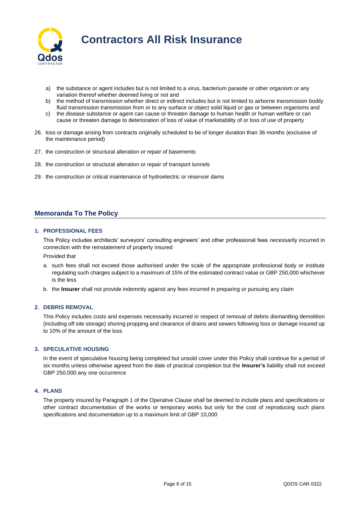

- a) the substance or agent includes but is not limited to a virus, bacterium parasite or other organism or any variation thereof whether deemed living or not and
- b) the method of transmission whether direct or indirect includes but is not limited to airborne transmission bodily fluid transmission transmission from or to any surface or object solid liquid or gas or between organisms and
- c) the disease substance or agent can cause or threaten damage to human health or human welfare or can cause or threaten damage to deterioration of loss of value of marketability of or loss of use of property
- 26. loss or damage arising from contracts originally scheduled to be of longer duration than 36 months (exclusive of the maintenance period)
- 27. the construction or structural alteration or repair of basements
- 28. the construction or structural alteration or repair of transport tunnels
- 29. the construction or critical maintenance of hydroelectric or reservoir dams

## **Memoranda To The Policy**

#### **1. PROFESSIONAL FEES**

This Policy includes architects' surveyors' consulting engineers' and other professional fees necessarily incurred in connection with the reinstatement of property insured

Provided that

- a. such fees shall not exceed those authorised under the scale of the appropriate professional body or institute regulating such charges subject to a maximum of 15% of the estimated contract value or GBP 250,000 whichever is the less
- b. the **Insurer** shall not provide indemnity against any fees incurred in preparing or pursuing any claim

### **2. DEBRIS REMOVAL**

This Policy includes costs and expenses necessarily incurred in respect of removal of debris dismantling demolition (including off site storage) shoring propping and clearance of drains and sewers following loss or damage insured up to 10% of the amount of the loss

## **3. SPECULATIVE HOUSING**

In the event of speculative housing being completed but unsold cover under this Policy shall continue for a period of six months unless otherwise agreed from the date of practical completion but the **Insurer's** liability shall not exceed GBP 250,000 any one occurrence

## **4. PLANS**

The property insured by Paragraph 1 of the Operative Clause shall be deemed to include plans and specifications or other contract documentation of the works or temporary works but only for the cost of reproducing such plans specifications and documentation up to a maximum limit of GBP 10,000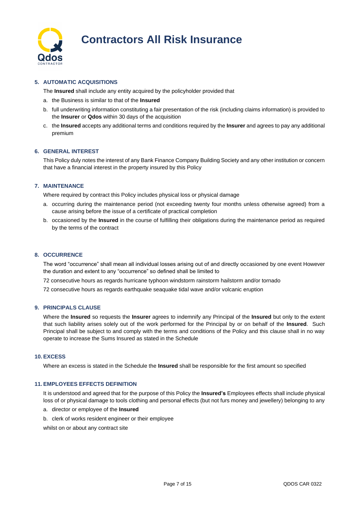

## **5. AUTOMATIC ACQUISITIONS**

The **Insured** shall include any entity acquired by the policyholder provided that

- a. the Business is similar to that of the **Insured**
- b. full underwriting information constituting a fair presentation of the risk (including claims information) is provided to the **Insurer** or **Qdos** within 30 days of the acquisition
- c. the **Insured** accepts any additional terms and conditions required by the **Insurer** and agrees to pay any additional premium

## **6. GENERAL INTEREST**

This Policy duly notes the interest of any Bank Finance Company Building Society and any other institution or concern that have a financial interest in the property insured by this Policy

## **7. MAINTENANCE**

Where required by contract this Policy includes physical loss or physical damage

- a. occurring during the maintenance period (not exceeding twenty four months unless otherwise agreed) from a cause arising before the issue of a certificate of practical completion
- b. occasioned by the **Insured** in the course of fulfilling their obligations during the maintenance period as required by the terms of the contract

### **8. OCCURRENCE**

The word "occurrence" shall mean all individual losses arising out of and directly occasioned by one event However the duration and extent to any "occurrence" so defined shall be limited to

72 consecutive hours as regards hurricane typhoon windstorm rainstorm hailstorm and/or tornado

72 consecutive hours as regards earthquake seaquake tidal wave and/or volcanic eruption

## **9. PRINCIPALS CLAUSE**

Where the **Insured** so requests the **Insurer** agrees to indemnify any Principal of the **Insured** but only to the extent that such liability arises solely out of the work performed for the Principal by or on behalf of the **Insured**. Such Principal shall be subject to and comply with the terms and conditions of the Policy and this clause shall in no way operate to increase the Sums Insured as stated in the Schedule

## **10. EXCESS**

Where an excess is stated in the Schedule the **Insured** shall be responsible for the first amount so specified

### **11. EMPLOYEES EFFECTS DEFINITION**

It is understood and agreed that for the purpose of this Policy the **Insured's** Employees effects shall include physical loss of or physical damage to tools clothing and personal effects (but not furs money and jewellery) belonging to any

- a. director or employee of the **Insured**
- b. clerk of works resident engineer or their employee

whilst on or about any contract site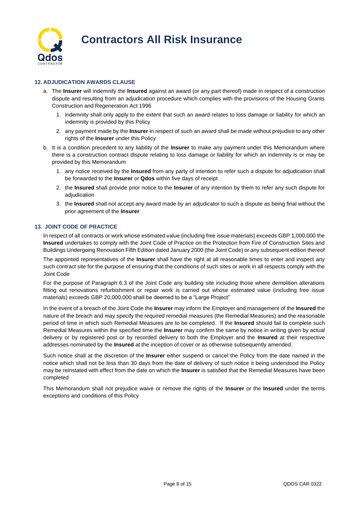

## **12. ADJUDICATION AWARDS CLAUSE**

- a. The **Insurer** will indemnify the **Insured** against an award (or any part thereof) made in respect of a construction dispute and resulting from an adjudication procedure which complies with the provisions of the Housing Grants Construction and Regeneration Act 1996
	- 1. indemnity shall only apply to the extent that such an award relates to loss damage or liability for which an indemnity is provided by this Policy
	- 2. any payment made by the **Insurer** in respect of such an award shall be made without prejudice to any other rights of the **Insurer** under this Policy
- b. It is a condition precedent to any liability of the **Insurer** to make any payment under this Memorandum where there is a construction contract dispute relating to loss damage or liability for which an indemnity is or may be provided by this Memorandum
	- 1. any notice received by the **Insured** from any party of intention to refer such a dispute for adjudication shall be forwarded to the **Insurer** or **Qdos** within five days of receipt
	- 2. the **Insured** shall provide prior notice to the **Insurer** of any intention by them to refer any such dispute for adjudication
	- 3. the **Insured** shall not accept any award made by an adjudicator to such a dispute as being final without the prior agreement of the **Insurer**

## **13. JOINT CODE OF PRACTICE**

In respect of all contracts or work whose estimated value (including free issue materials) exceeds GBP 1,000,000 the **Insured** undertakes to comply with the Joint Code of Practice on the Protection from Fire of Construction Sites and Buildings Undergoing Renovation Fifth Edition dated January 2000 (the Joint Code) or any subsequent edition thereof

The appointed representatives of the **Insurer** shall have the right at all reasonable times to enter and inspect any such contract site for the purpose of ensuring that the conditions of such sites or work in all respects comply with the Joint Code

For the purpose of Paragraph 6.3 of the Joint Code any building site including those where demolition alterations fitting out renovations refurbishment or repair work is carried out whose estimated value (including free issue materials) exceeds GBP 20,000,000 shall be deemed to be a "Large Project"

In the event of a breach of the Joint Code the **Insurer** may inform the Employer and management of the **Insured** the nature of the breach and may specify the required remedial measures (the Remedial Measures) and the reasonable period of time in which such Remedial Measures are to be completed. If the **Insured** should fail to complete such Remedial Measures within the specified time the **Insurer** may confirm the same by notice in writing given by actual delivery or by registered post or by recorded delivery to both the Employer and the **Insured** at their respective addresses nominated by the **Insured** at the inception of cover or as otherwise subsequently amended.

Such notice shall at the discretion of the **Insurer** either suspend or cancel the Policy from the date named in the notice which shall not be less than 30 days from the date of delivery of such notice it being understood the Policy may be reinstated with effect from the date on which the **Insurer** is satisfied that the Remedial Measures have been completed

This Memorandum shall not prejudice waive or remove the rights of the **Insurer** or the **Insured** under the terms exceptions and conditions of this Policy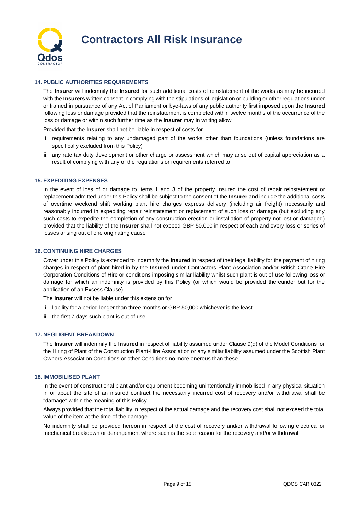

## **14. PUBLIC AUTHORITIES REQUIREMENTS**

The **Insurer** will indemnify the **Insured** for such additional costs of reinstatement of the works as may be incurred with the **Insurers** written consent in complying with the stipulations of legislation or building or other regulations under or framed in pursuance of any Act of Parliament or bye-laws of any public authority first imposed upon the **Insured** following loss or damage provided that the reinstatement is completed within twelve months of the occurrence of the loss or damage or within such further time as the **Insurer** may in writing allow

Provided that the **Insurer** shall not be liable in respect of costs for

- i. requirements relating to any undamaged part of the works other than foundations (unless foundations are specifically excluded from this Policy)
- ii. any rate tax duty development or other charge or assessment which may arise out of capital appreciation as a result of complying with any of the regulations or requirements referred to

#### **15. EXPEDITING EXPENSES**

In the event of loss of or damage to Items 1 and 3 of the property insured the cost of repair reinstatement or replacement admitted under this Policy shall be subject to the consent of the **Insurer** and include the additional costs of overtime weekend shift working plant hire charges express delivery (including air freight) necessarily and reasonably incurred in expediting repair reinstatement or replacement of such loss or damage (but excluding any such costs to expedite the completion of any construction erection or installation of property not lost or damaged) provided that the liability of the **Insurer** shall not exceed GBP 50,000 in respect of each and every loss or series of losses arising out of one originating cause

## **16. CONTINUING HIRE CHARGES**

Cover under this Policy is extended to indemnify the **Insured** in respect of their legal liability for the payment of hiring charges in respect of plant hired in by the **Insured** under Contractors Plant Association and/or British Crane Hire Corporation Conditions of Hire or conditions imposing similar liability whilst such plant is out of use following loss or damage for which an indemnity is provided by this Policy (or which would be provided thereunder but for the application of an Excess Clause)

The **Insurer** will not be liable under this extension for

- i. liability for a period longer than three months or GBP 50,000 whichever is the least
- ii. the first 7 days such plant is out of use

#### **17. NEGLIGENT BREAKDOWN**

The **Insurer** will indemnify the **Insured** in respect of liability assumed under Clause 9(d) of the Model Conditions for the Hiring of Plant of the Construction Plant-Hire Association or any similar liability assumed under the Scottish Plant Owners Association Conditions or other Conditions no more onerous than these

### **18. IMMOBILISED PLANT**

In the event of constructional plant and/or equipment becoming unintentionally immobilised in any physical situation in or about the site of an insured contract the necessarily incurred cost of recovery and/or withdrawal shall be "damage" within the meaning of this Policy

Always provided that the total liability in respect of the actual damage and the recovery cost shall not exceed the total value of the item at the time of the damage

No indemnity shall be provided hereon in respect of the cost of recovery and/or withdrawal following electrical or mechanical breakdown or derangement where such is the sole reason for the recovery and/or withdrawal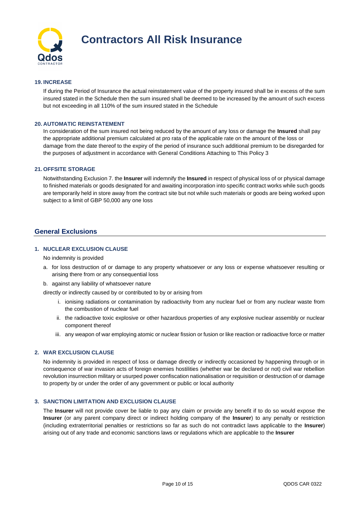

## **19. INCREASE**

If during the Period of Insurance the actual reinstatement value of the property insured shall be in excess of the sum insured stated in the Schedule then the sum insured shall be deemed to be increased by the amount of such excess but not exceeding in all 110% of the sum insured stated in the Schedule

## **20. AUTOMATIC REINSTATEMENT**

In consideration of the sum insured not being reduced by the amount of any loss or damage the **Insured** shall pay the appropriate additional premium calculated at pro rata of the applicable rate on the amount of the loss or damage from the date thereof to the expiry of the period of insurance such additional premium to be disregarded for the purposes of adjustment in accordance with General Conditions Attaching to This Policy 3

## **21. OFFSITE STORAGE**

Notwithstanding Exclusion 7. the **Insurer** will indemnify the **Insured** in respect of physical loss of or physical damage to finished materials or goods designated for and awaiting incorporation into specific contract works while such goods are temporarily held in store away from the contract site but not while such materials or goods are being worked upon subject to a limit of GBP 50,000 any one loss

## **General Exclusions**

## **1. NUCLEAR EXCLUSION CLAUSE**

No indemnity is provided

- a. for loss destruction of or damage to any property whatsoever or any loss or expense whatsoever resulting or arising there from or any consequential loss
- b. against any liability of whatsoever nature

directly or indirectly caused by or contributed to by or arising from

- i. ionising radiations or contamination by radioactivity from any nuclear fuel or from any nuclear waste from the combustion of nuclear fuel
- ii. the radioactive toxic explosive or other hazardous properties of any explosive nuclear assembly or nuclear component thereof
- iii. any weapon of war employing atomic or nuclear fission or fusion or like reaction or radioactive force or matter

#### **2. WAR EXCLUSION CLAUSE**

No indemnity is provided in respect of loss or damage directly or indirectly occasioned by happening through or in consequence of war invasion acts of foreign enemies hostilities (whether war be declared or not) civil war rebellion revolution insurrection military or usurped power confiscation nationalisation or requisition or destruction of or damage to property by or under the order of any government or public or local authority

## **3. SANCTION LIMITATION AND EXCLUSION CLAUSE**

The **Insurer** will not provide cover be liable to pay any claim or provide any benefit if to do so would expose the **Insurer** (or any parent company direct or indirect holding company of the **Insurer**) to any penalty or restriction (including extraterritorial penalties or restrictions so far as such do not contradict laws applicable to the **Insurer**) arising out of any trade and economic sanctions laws or regulations which are applicable to the **Insurer**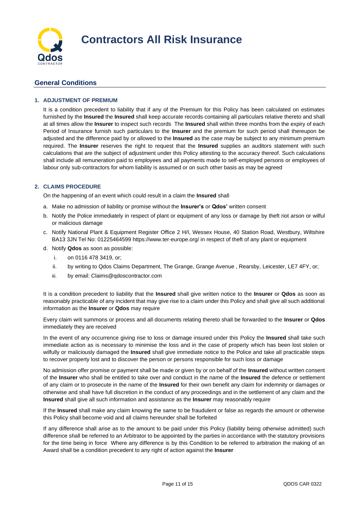

## **General Conditions**

## **1. ADJUSTMENT OF PREMIUM**

It is a condition precedent to liability that if any of the Premium for this Policy has been calculated on estimates furnished by the **Insured** the **Insured** shall keep accurate records containing all particulars relative thereto and shall at all times allow the **Insurer** to inspect such records The **Insured** shall within three months from the expiry of each Period of Insurance furnish such particulars to the **Insurer** and the premium for such period shall thereupon be adjusted and the difference paid by or allowed to the **Insured** as the case may be subject to any minimum premium required. The **Insurer** reserves the right to request that the **Insured** supplies an auditors statement with such calculations that are the subject of adjustment under this Policy attesting to the accuracy thereof. Such calculations shall include all remuneration paid to employees and all payments made to self-employed persons or employees of labour only sub-contractors for whom liability is assumed or on such other basis as may be agreed

## **2. CLAIMS PROCEDURE**

On the happening of an event which could result in a claim the **Insured** shall

- a. Make no admission of liability or promise without the **Insurer's** or **Qdos'** written consent
- b. Notify the Police immediately in respect of plant or equipment of any loss or damage by theft riot arson or wilful or malicious damage
- c. Notify National Plant & Equipment Register Office 2 H/I, Wessex House, 40 Station Road, Westbury, Wiltshire BA13 3JN Tel No: 01225464599 https://www.ter-europe.org/ in respect of theft of any plant or equipment
- d. Notify **Qdos** as soon as possible:
	- i. on 0116 478 3419, or;
	- ii. by writing to Qdos Claims Department, The Grange, Grange Avenue , Rearsby, Leicester, LE7 4FY, or;
	- iii. by email: Claims@qdoscontractor.com

It is a condition precedent to liability that the **Insured** shall give written notice to the **Insurer** or **Qdos** as soon as reasonably practicable of any incident that may give rise to a claim under this Policy and shall give all such additional information as the **Insurer** or **Qdos** may require

Every claim writ summons or process and all documents relating thereto shall be forwarded to the **Insurer** or **Qdos** immediately they are received

In the event of any occurrence giving rise to loss or damage insured under this Policy the **Insured** shall take such immediate action as is necessary to minimise the loss and in the case of property which has been lost stolen or wilfully or maliciously damaged the **Insured** shall give immediate notice to the Police and take all practicable steps to recover property lost and to discover the person or persons responsible for such loss or damage

No admission offer promise or payment shall be made or given by or on behalf of the **Insured** without written consent of the **Insurer** who shall be entitled to take over and conduct in the name of the **Insured** the defence or settlement of any claim or to prosecute in the name of the **Insured** for their own benefit any claim for indemnity or damages or otherwise and shall have full discretion in the conduct of any proceedings and in the settlement of any claim and the **Insured** shall give all such information and assistance as the **Insurer** may reasonably require

If the **Insured** shall make any claim knowing the same to be fraudulent or false as regards the amount or otherwise this Policy shall become void and all claims hereunder shall be forfeited

If any difference shall arise as to the amount to be paid under this Policy (liability being otherwise admitted) such difference shall be referred to an Arbitrator to be appointed by the parties in accordance with the statutory provisions for the time being in force Where any difference is by this Condition to be referred to arbitration the making of an Award shall be a condition precedent to any right of action against the **Insurer**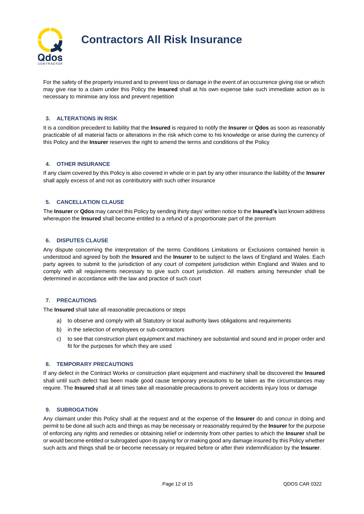

For the safety of the property insured and to prevent loss or damage in the event of an occurrence giving rise or which may give rise to a claim under this Policy the **Insured** shall at his own expense take such immediate action as is necessary to minimise any loss and prevent repetition

## **3. ALTERATIONS IN RISK**

It is a condition precedent to liability that the **Insured** is required to notify the **Insurer** or **Qdos** as soon as reasonably practicable of all material facts or alterations in the risk which come to his knowledge or arise during the currency of this Policy and the **Insurer** reserves the right to amend the terms and conditions of the Policy

## **4. OTHER INSURANCE**

If any claim covered by this Policy is also covered in whole or in part by any other insurance the liability of the **Insurer** shall apply excess of and not as contributory with such other insurance

## **5. CANCELLATION CLAUSE**

The **Insurer** or **Qdos** may cancel this Policy by sending thirty days' written notice to the **Insured's** last known address whereupon the **Insured** shall become entitled to a refund of a proportionate part of the premium

## **6. DISPUTES CLAUSE**

Any dispute concerning the interpretation of the terms Conditions Limitations or Exclusions contained herein is understood and agreed by both the **Insured** and the **Insurer** to be subject to the laws of England and Wales. Each party agrees to submit to the jurisdiction of any court of competent jurisdiction within England and Wales and to comply with all requirements necessary to give such court jurisdiction. All matters arising hereunder shall be determined in accordance with the law and practice of such court

## **7. PRECAUTIONS**

The **Insured** shall take all reasonable precautions or steps

- a) to observe and comply with all Statutory or local authority laws obligations and requirements
- b) in the selection of employees or sub-contractors
- c) to see that construction plant equipment and machinery are substantial and sound and in proper order and fit for the purposes for which they are used

## **8. TEMPORARY PRECAUTIONS**

If any defect in the Contract Works or construction plant equipment and machinery shall be discovered the **Insured** shall until such defect has been made good cause temporary precautions to be taken as the circumstances may require. The **Insured** shall at all times take all reasonable precautions to prevent accidents injury loss or damage

#### **9. SUBROGATION**

Any claimant under this Policy shall at the request and at the expense of the **Insurer** do and concur in doing and permit to be done all such acts and things as may be necessary or reasonably required by the **Insurer** for the purpose of enforcing any rights and remedies or obtaining relief or indemnity from other parties to which the **Insurer** shall be or would become entitled or subrogated upon its paying for or making good any damage insured by this Policy whether such acts and things shall be or become necessary or required before or after their indemnification by the **Insurer**.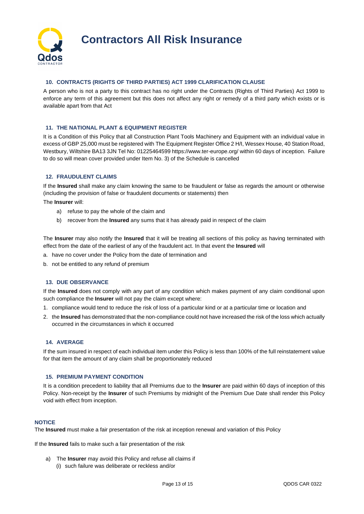

## **10. CONTRACTS (RIGHTS OF THIRD PARTIES) ACT 1999 CLARIFICATION CLAUSE**

A person who is not a party to this contract has no right under the Contracts (Rights of Third Parties) Act 1999 to enforce any term of this agreement but this does not affect any right or remedy of a third party which exists or is available apart from that Act

#### **11. THE NATIONAL PLANT & EQUIPMENT REGISTER**

It is a Condition of this Policy that all Construction Plant Tools Machinery and Equipment with an individual value in excess of GBP 25,000 must be registered with The Equipment Register Office 2 H/I, Wessex House, 40 Station Road, Westbury, Wiltshire BA13 3JN Tel No: 01225464599 https://www.ter-europe.org/ within 60 days of inception. Failure to do so will mean cover provided under Item No. 3) of the Schedule is cancelled

## **12. FRAUDULENT CLAIMS**

If the **Insured** shall make any claim knowing the same to be fraudulent or false as regards the amount or otherwise (including the provision of false or fraudulent documents or statements) then

The **Insurer** will:

- a) refuse to pay the whole of the claim and
- b) recover from the **Insured** any sums that it has already paid in respect of the claim

The **Insurer** may also notify the **Insured** that it will be treating all sections of this policy as having terminated with effect from the date of the earliest of any of the fraudulent act. In that event the **Insured** will

- a. have no cover under the Policy from the date of termination and
- b. not be entitled to any refund of premium

#### **13. DUE OBSERVANCE**

If the **Insured** does not comply with any part of any condition which makes payment of any claim conditional upon such compliance the **Insurer** will not pay the claim except where:

- 1. compliance would tend to reduce the risk of loss of a particular kind or at a particular time or location and
- 2. the **Insured** has demonstrated that the non-compliance could not have increased the risk of the loss which actually occurred in the circumstances in which it occurred

#### **14. AVERAGE**

If the sum insured in respect of each individual item under this Policy is less than 100% of the full reinstatement value for that item the amount of any claim shall be proportionately reduced

## **15. PREMIUM PAYMENT CONDITION**

It is a condition precedent to liability that all Premiums due to the **Insurer** are paid within 60 days of inception of this Policy. Non-receipt by the **Insurer** of such Premiums by midnight of the Premium Due Date shall render this Policy void with effect from inception.

#### **NOTICE**

The **Insured** must make a fair presentation of the risk at inception renewal and variation of this Policy

If the **Insured** fails to make such a fair presentation of the risk

a) The **Insurer** may avoid this Policy and refuse all claims if (i) such failure was deliberate or reckless and/or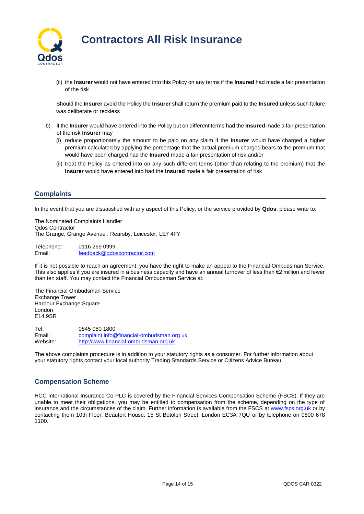

(ii) the **Insurer** would not have entered into this Policy on any terms if the **Insured** had made a fair presentation of the risk

Should the **Insurer** avoid the Policy the **Insurer** shall return the premium paid to the **Insured** unless such failure was deliberate or reckless

- b) if the **Insurer** would have entered into the Policy but on different terms had the **Insured** made a fair presentation of the risk **Insurer** may
	- (i) reduce proportionately the amount to be paid on any claim if the **Insurer** would have charged a higher premium calculated by applying the percentage that the actual premium charged bears to the premium that would have been charged had the **Insured** made a fair presentation of risk and/or
	- (ii) treat the Policy as entered into on any such different terms (other than relating to the premium) that the **Insurer** would have entered into had the **Insured** made a fair presentation of risk

## **Complaints**

In the event that you are dissatisfied with any aspect of this Policy, or the service provided by **Qdos**, please write to:

The Nominated Complaints Handler Qdos Contractor The Grange, Grange Avenue , Rearsby, Leicester, LE7 4FY

Telephone: 0116 269 0999 Email: [feedback@qdoscontractor.com](mailto:feedback@qdoscontractor.com)

If it is not possible to reach an agreement, you have the right to make an appeal to the Financial Ombudsman Service. This also applies if you are insured in a business capacity and have an annual turnover of less than €2 million and fewer than ten staff. You may contact the Financial Ombudsman Service at:

The Financial Ombudsman Service Exchange Tower Harbour Exchange Square London E14 9SR

Tel: 0845 080 1800 Email: [complaint.info@financial-ombudsman.org.uk](mailto:complaint.info@financial-ombudsman.org.uk) Website: [http://www.financial-ombudsman.org.uk](http://www.financial-ombudsman.org.uk/)

The above complaints procedure is in addition to your statutory rights as a consumer. For further information about your statutory rights contact your local authority Trading Standards Service or Citizens Advice Bureau.

## **Compensation Scheme**

HCC International Insurance Co PLC is covered by the Financial Services Compensation Scheme (FSCS). If they are unable to meet their obligations, you may be entitled to compensation from the scheme, depending on the type of insurance and the circumstances of the claim. Further information is available from the FSCS at [www.fscs.org.uk](http://www.fscs.org.uk/) or by contacting them 10th Floor, Beaufort House, 15 St Botolph Street, London EC3A 7QU or by telephone on 0800 678 1100.